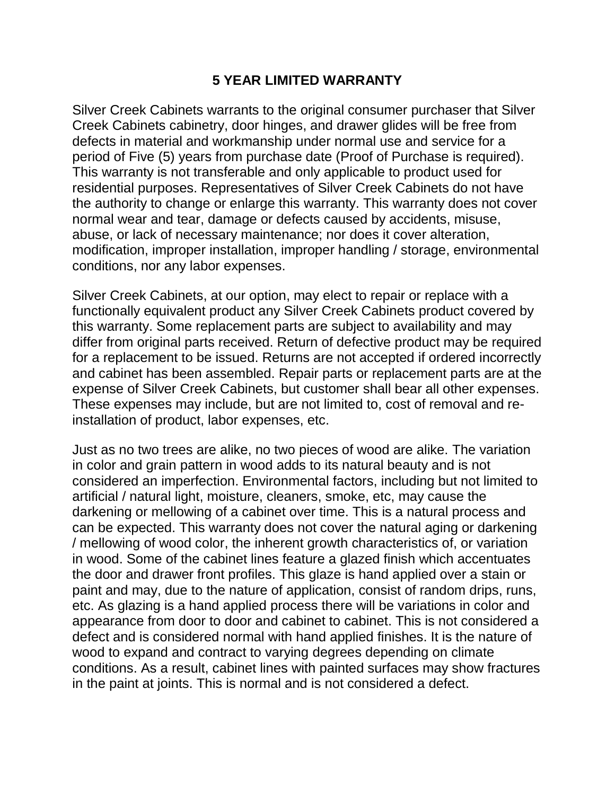## **5 YEAR LIMITED WARRANTY**

Silver Creek Cabinets warrants to the original consumer purchaser that Silver Creek Cabinets cabinetry, door hinges, and drawer glides will be free from defects in material and workmanship under normal use and service for a period of Five (5) years from purchase date (Proof of Purchase is required). This warranty is not transferable and only applicable to product used for residential purposes. Representatives of Silver Creek Cabinets do not have the authority to change or enlarge this warranty. This warranty does not cover normal wear and tear, damage or defects caused by accidents, misuse, abuse, or lack of necessary maintenance; nor does it cover alteration, modification, improper installation, improper handling / storage, environmental conditions, nor any labor expenses.

Silver Creek Cabinets, at our option, may elect to repair or replace with a functionally equivalent product any Silver Creek Cabinets product covered by this warranty. Some replacement parts are subject to availability and may differ from original parts received. Return of defective product may be required for a replacement to be issued. Returns are not accepted if ordered incorrectly and cabinet has been assembled. Repair parts or replacement parts are at the expense of Silver Creek Cabinets, but customer shall bear all other expenses. These expenses may include, but are not limited to, cost of removal and reinstallation of product, labor expenses, etc.

Just as no two trees are alike, no two pieces of wood are alike. The variation in color and grain pattern in wood adds to its natural beauty and is not considered an imperfection. Environmental factors, including but not limited to artificial / natural light, moisture, cleaners, smoke, etc, may cause the darkening or mellowing of a cabinet over time. This is a natural process and can be expected. This warranty does not cover the natural aging or darkening / mellowing of wood color, the inherent growth characteristics of, or variation in wood. Some of the cabinet lines feature a glazed finish which accentuates the door and drawer front profiles. This glaze is hand applied over a stain or paint and may, due to the nature of application, consist of random drips, runs, etc. As glazing is a hand applied process there will be variations in color and appearance from door to door and cabinet to cabinet. This is not considered a defect and is considered normal with hand applied finishes. It is the nature of wood to expand and contract to varying degrees depending on climate conditions. As a result, cabinet lines with painted surfaces may show fractures in the paint at joints. This is normal and is not considered a defect.